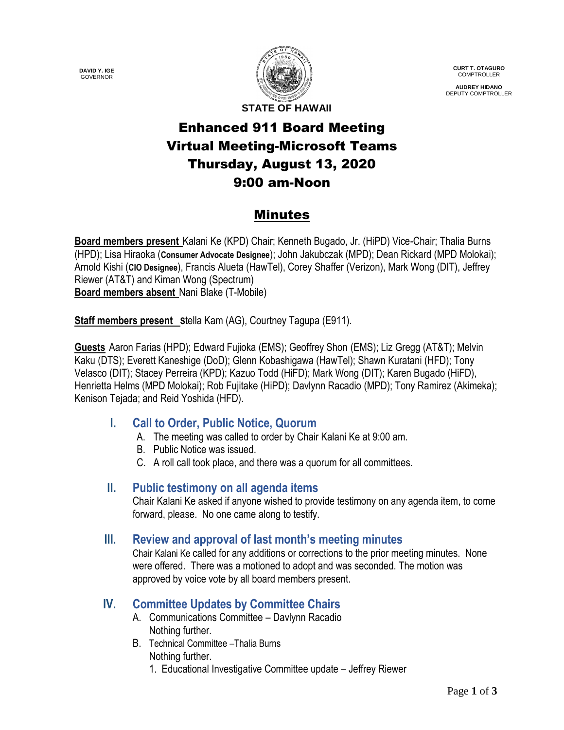**DAVID Y. IGE** GOVERNOR



**CURT T. OTAGURO** COMPTROLLER

**AUDREY HIDANO** DEPUTY COMPTROLLER

**STATE OF HAWAII**

# Enhanced 911 Board Meeting Virtual Meeting-Microsoft Teams Thursday, August 13, 2020 9:00 am-Noon

## Minutes

**Board members present** Kalani Ke (KPD) Chair; Kenneth Bugado, Jr. (HiPD) Vice-Chair; Thalia Burns (HPD); Lisa Hiraoka (**Consumer Advocate Designee**); John Jakubczak (MPD); Dean Rickard (MPD Molokai); Arnold Kishi (**CIO Designee**), Francis Alueta (HawTel), Corey Shaffer (Verizon), Mark Wong (DIT), Jeffrey Riewer (AT&T) and Kiman Wong (Spectrum) **Board members absent** Nani Blake (T-Mobile)

**Staff members present Stella Kam (AG), Courtney Tagupa (E911).** 

**Guests** Aaron Farias (HPD); Edward Fujioka (EMS); Geoffrey Shon (EMS); Liz Gregg (AT&T); Melvin Kaku (DTS); Everett Kaneshige (DoD); Glenn Kobashigawa (HawTel); Shawn Kuratani (HFD); Tony Velasco (DIT); Stacey Perreira (KPD); Kazuo Todd (HiFD); Mark Wong (DIT); Karen Bugado (HiFD), Henrietta Helms (MPD Molokai); Rob Fujitake (HiPD); Davlynn Racadio (MPD); Tony Ramirez (Akimeka); Kenison Tejada; and Reid Yoshida (HFD).

### **I. Call to Order, Public Notice, Quorum**

- A. The meeting was called to order by Chair Kalani Ke at 9:00 am.
- B. Public Notice was issued.
- C. A roll call took place, and there was a quorum for all committees.

### **II. Public testimony on all agenda items**

Chair Kalani Ke asked if anyone wished to provide testimony on any agenda item, to come forward, please. No one came along to testify.

### **III. Review and approval of last month's meeting minutes**

Chair Kalani Ke called for any additions or corrections to the prior meeting minutes. None were offered. There was a motioned to adopt and was seconded. The motion was approved by voice vote by all board members present.

### **IV. Committee Updates by Committee Chairs**

- A. Communications Committee Davlynn Racadio Nothing further.
- B. Technical Committee –Thalia Burns Nothing further.
	- 1. Educational Investigative Committee update Jeffrey Riewer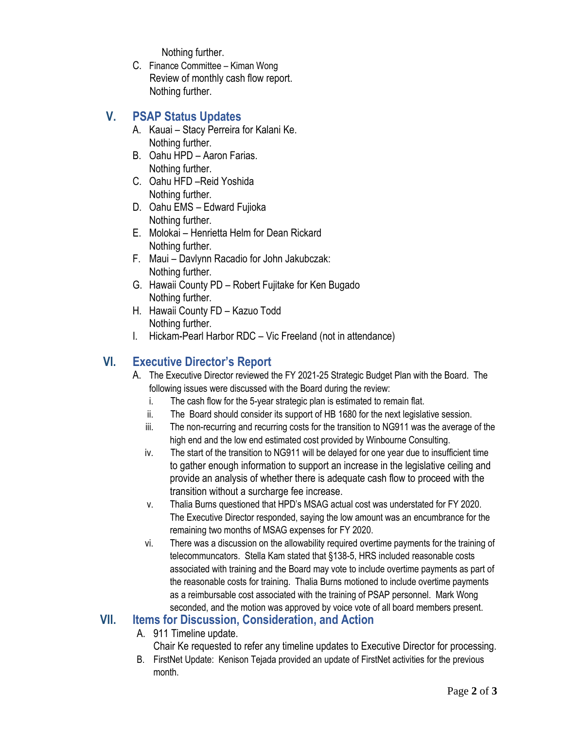Nothing further.

C. Finance Committee – Kiman Wong Review of monthly cash flow report. Nothing further.

### **V. PSAP Status Updates**

- A. Kauai Stacy Perreira for Kalani Ke. Nothing further.
- B. Oahu HPD Aaron Farias. Nothing further.
- C. Oahu HFD –Reid Yoshida Nothing further.
- D. Oahu EMS Edward Fujioka Nothing further.
- E. Molokai Henrietta Helm for Dean Rickard Nothing further.
- F. Maui Davlynn Racadio for John Jakubczak: Nothing further.
- G. Hawaii County PD Robert Fujitake for Ken Bugado Nothing further.
- H. Hawaii County FD Kazuo Todd Nothing further.
- I. Hickam-Pearl Harbor RDC Vic Freeland (not in attendance)

## **VI. Executive Director's Report**

- A. The Executive Director reviewed the FY 2021-25 Strategic Budget Plan with the Board. The following issues were discussed with the Board during the review:
	- i. The cash flow for the 5-year strategic plan is estimated to remain flat.
	- ii. The Board should consider its support of HB 1680 for the next legislative session.
	- iii. The non-recurring and recurring costs for the transition to NG911 was the average of the high end and the low end estimated cost provided by Winbourne Consulting.
	- iv. The start of the transition to NG911 will be delayed for one year due to insufficient time to gather enough information to support an increase in the legislative ceiling and provide an analysis of whether there is adequate cash flow to proceed with the transition without a surcharge fee increase.
	- v. Thalia Burns questioned that HPD's MSAG actual cost was understated for FY 2020. The Executive Director responded, saying the low amount was an encumbrance for the remaining two months of MSAG expenses for FY 2020.
	- vi. There was a discussion on the allowability required overtime payments for the training of telecommuncators. Stella Kam stated that §138-5, HRS included reasonable costs associated with training and the Board may vote to include overtime payments as part of the reasonable costs for training. Thalia Burns motioned to include overtime payments as a reimbursable cost associated with the training of PSAP personnel. Mark Wong seconded, and the motion was approved by voice vote of all board members present.

### **VII. Items for Discussion, Consideration, and Action**

- A. 911 Timeline update.
	- Chair Ke requested to refer any timeline updates to Executive Director for processing.
- B. FirstNet Update: Kenison Tejada provided an update of FirstNet activities for the previous month.